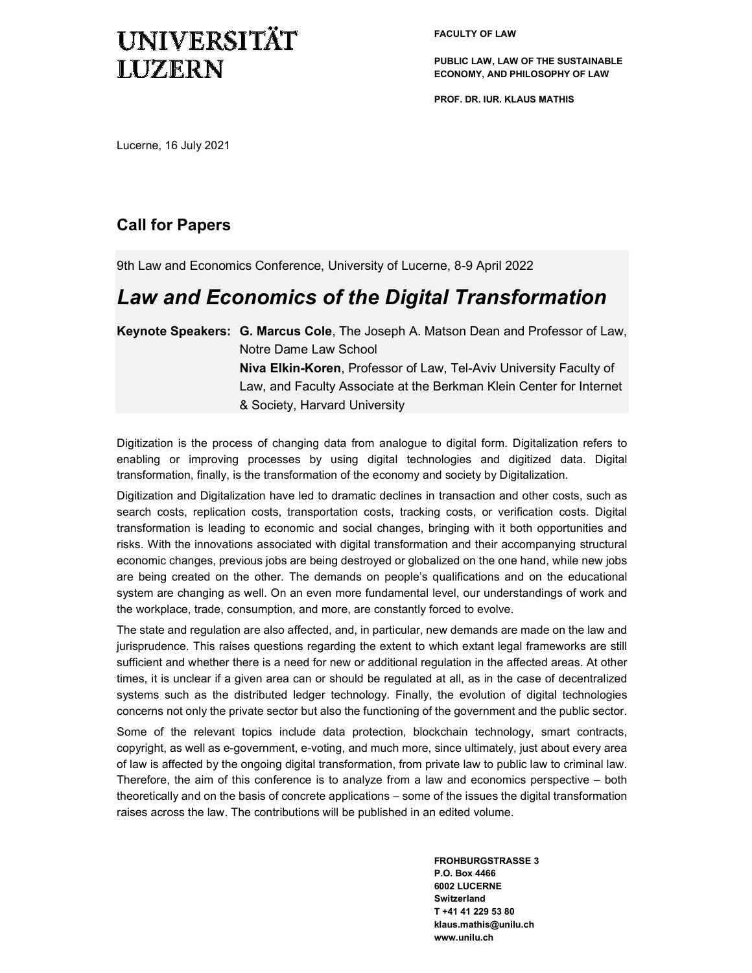# UNIVERSITÄT **LUZERN**

**FACULTY OF LAW** 

**PUBLIC LAW, LAW OF THE SUSTAINABLE ECONOMY, AND PHILOSOPHY OF LAW** 

**PROF. DR. IUR. KLAUS MATHIS** 

Lucerne, 16 July 2021

### **Call for Papers**

9th Law and Economics Conference, University of Lucerne, 8-9 April 2022

## *Law and Economics of the Digital Transformation*

**Keynote Speakers: G. Marcus Cole**, The Joseph A. Matson Dean and Professor of Law, Notre Dame Law School **Niva Elkin-Koren**, Professor of Law, Tel-Aviv University Faculty of Law, and Faculty Associate at the Berkman Klein Center for Internet & Society, Harvard University

Digitization is the process of changing data from analogue to digital form. Digitalization refers to enabling or improving processes by using digital technologies and digitized data. Digital transformation, finally, is the transformation of the economy and society by Digitalization.

Digitization and Digitalization have led to dramatic declines in transaction and other costs, such as search costs, replication costs, transportation costs, tracking costs, or verification costs. Digital transformation is leading to economic and social changes, bringing with it both opportunities and risks. With the innovations associated with digital transformation and their accompanying structural economic changes, previous jobs are being destroyed or globalized on the one hand, while new jobs are being created on the other. The demands on people's qualifications and on the educational system are changing as well. On an even more fundamental level, our understandings of work and the workplace, trade, consumption, and more, are constantly forced to evolve.

The state and regulation are also affected, and, in particular, new demands are made on the law and jurisprudence. This raises questions regarding the extent to which extant legal frameworks are still sufficient and whether there is a need for new or additional regulation in the affected areas. At other times, it is unclear if a given area can or should be regulated at all, as in the case of decentralized systems such as the distributed ledger technology. Finally, the evolution of digital technologies concerns not only the private sector but also the functioning of the government and the public sector.

Some of the relevant topics include data protection, blockchain technology, smart contracts, copyright, as well as e-government, e-voting, and much more, since ultimately, just about every area of law is affected by the ongoing digital transformation, from private law to public law to criminal law. Therefore, the aim of this conference is to analyze from a law and economics perspective – both theoretically and on the basis of concrete applications – some of the issues the digital transformation raises across the law. The contributions will be published in an edited volume.

> **FROHBURGSTRASSE 3 P.O. Box 4466 6002 LUCERNE Switzerland T +41 41 229 53 80 klaus.mathis@unilu.ch www.unilu.ch**